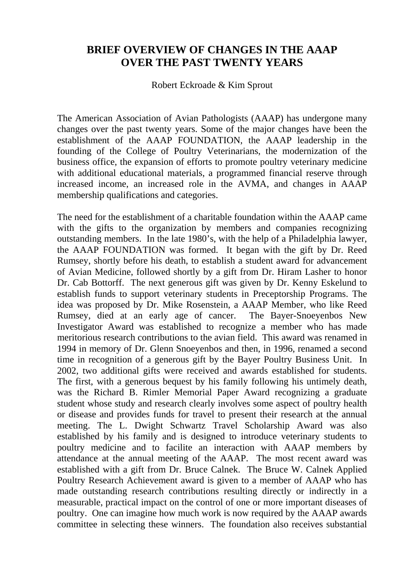## **BRIEF OVERVIEW OF CHANGES IN THE AAAP OVER THE PAST TWENTY YEARS**

Robert Eckroade & Kim Sprout

The American Association of Avian Pathologists (AAAP) has undergone many changes over the past twenty years. Some of the major changes have been the establishment of the AAAP FOUNDATION, the AAAP leadership in the founding of the College of Poultry Veterinarians, the modernization of the business office, the expansion of efforts to promote poultry veterinary medicine with additional educational materials, a programmed financial reserve through increased income, an increased role in the AVMA, and changes in AAAP membership qualifications and categories.

The need for the establishment of a charitable foundation within the AAAP came with the gifts to the organization by members and companies recognizing outstanding members. In the late 1980's, with the help of a Philadelphia lawyer, the AAAP FOUNDATION was formed. It began with the gift by Dr. Reed Rumsey, shortly before his death, to establish a student award for advancement of Avian Medicine, followed shortly by a gift from Dr. Hiram Lasher to honor Dr. Cab Bottorff. The next generous gift was given by Dr. Kenny Eskelund to establish funds to support veterinary students in Preceptorship Programs. The idea was proposed by Dr. Mike Rosenstein, a AAAP Member, who like Reed Rumsey, died at an early age of cancer. The Bayer-Snoeyenbos New Investigator Award was established to recognize a member who has made meritorious research contributions to the avian field. This award was renamed in 1994 in memory of Dr. Glenn Snoeyenbos and then, in 1996, renamed a second time in recognition of a generous gift by the Bayer Poultry Business Unit. In 2002, two additional gifts were received and awards established for students. The first, with a generous bequest by his family following his untimely death, was the Richard B. Rimler Memorial Paper Award recognizing a graduate student whose study and research clearly involves some aspect of poultry health or disease and provides funds for travel to present their research at the annual meeting. The L. Dwight Schwartz Travel Scholarship Award was also established by his family and is designed to introduce veterinary students to poultry medicine and to facilite an interaction with AAAP members by attendance at the annual meeting of the AAAP. The most recent award was established with a gift from Dr. Bruce Calnek. The Bruce W. Calnek Applied Poultry Research Achievement award is given to a member of AAAP who has made outstanding research contributions resulting directly or indirectly in a measurable, practical impact on the control of one or more important diseases of poultry. One can imagine how much work is now required by the AAAP awards committee in selecting these winners. The foundation also receives substantial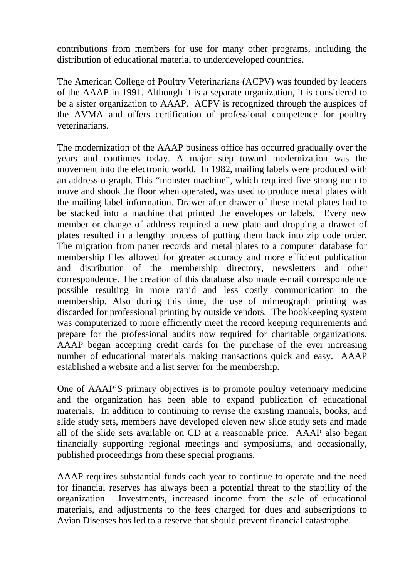contributions from members for use for many other programs, including the distribution of educational material to underdeveloped countries.

The American College of Poultry Veterinarians (ACPV) was founded by leaders of the AAAP in 1991. Although it is a separate organization, it is considered to be a sister organization to AAAP. ACPV is recognized through the auspices of the AVMA and offers certification of professional competence for poultry veterinarians.

The modernization of the AAAP business office has occurred gradually over the years and continues today. A major step toward modernization was the movement into the electronic world. In 1982, mailing labels were produced with an address-o-graph. This "monster machine", which required five strong men to move and shook the floor when operated, was used to produce metal plates with the mailing label information. Drawer after drawer of these metal plates had to be stacked into a machine that printed the envelopes or labels. Every new member or change of address required a new plate and dropping a drawer of plates resulted in a lengthy process of putting them back into zip code order. The migration from paper records and metal plates to a computer database for membership files allowed for greater accuracy and more efficient publication and distribution of the membership directory, newsletters and other correspondence. The creation of this database also made e-mail correspondence possible resulting in more rapid and less costly communication to the membership. Also during this time, the use of mimeograph printing was discarded for professional printing by outside vendors. The bookkeeping system was computerized to more efficiently meet the record keeping requirements and prepare for the professional audits now required for charitable organizations. AAAP began accepting credit cards for the purchase of the ever increasing number of educational materials making transactions quick and easy. AAAP established a website and a list server for the membership.

One of AAAP'S primary objectives is to promote poultry veterinary medicine and the organization has been able to expand publication of educational materials. In addition to continuing to revise the existing manuals, books, and slide study sets, members have developed eleven new slide study sets and made all of the slide sets available on CD at a reasonable price. AAAP also began financially supporting regional meetings and symposiums, and occasionally, published proceedings from these special programs.

AAAP requires substantial funds each year to continue to operate and the need for financial reserves has always been a potential threat to the stability of the organization. Investments, increased income from the sale of educational materials, and adjustments to the fees charged for dues and subscriptions to Avian Diseases has led to a reserve that should prevent financial catastrophe.